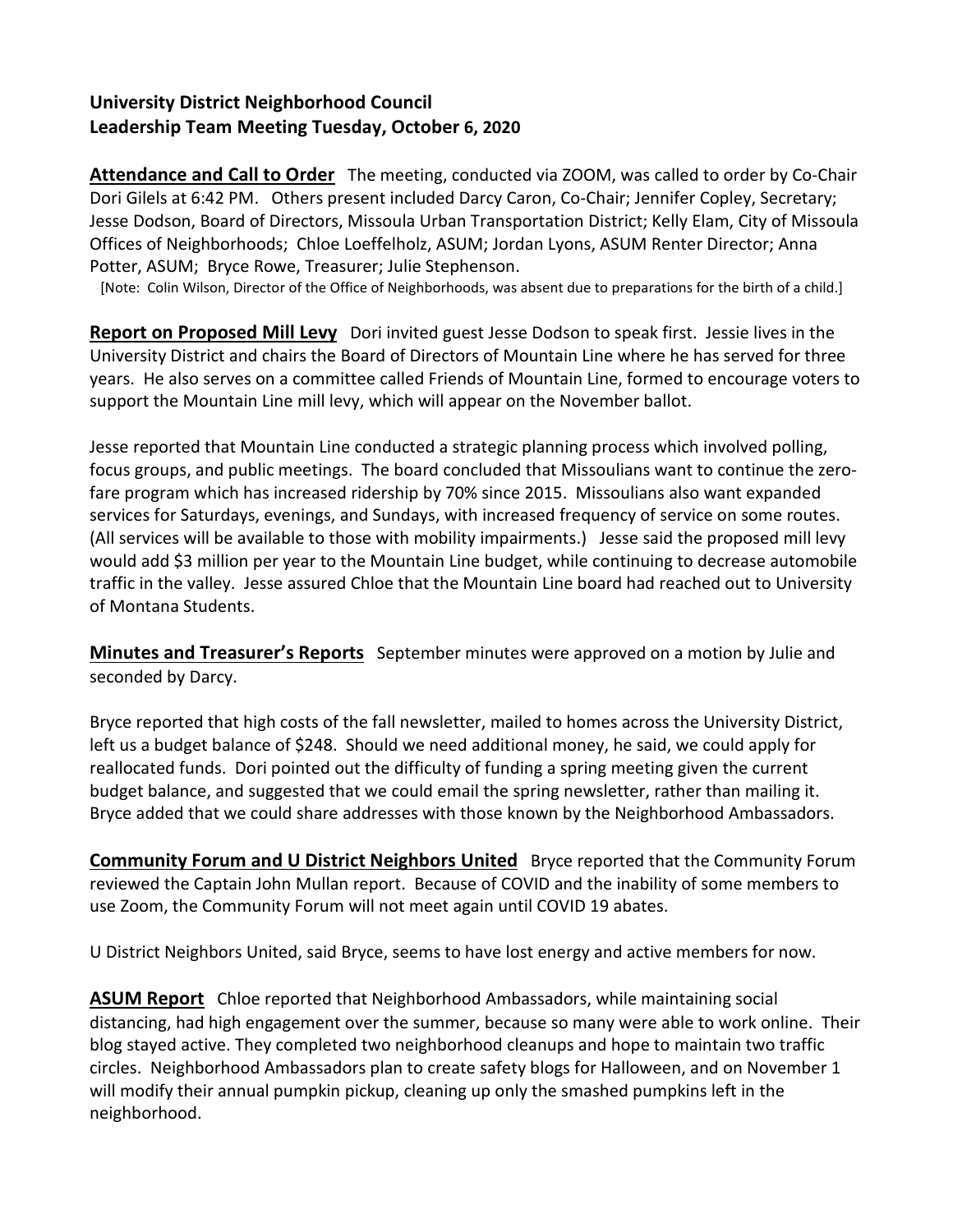## **University District Neighborhood Council Leadership Team Meeting Tuesday, October 6, 2020**

**Attendance and Call to Order** The meeting, conducted via ZOOM, was called to order by Co-Chair Dori Gilels at 6:42 PM. Others present included Darcy Caron, Co-Chair; Jennifer Copley, Secretary; Jesse Dodson, Board of Directors, Missoula Urban Transportation District; Kelly Elam, City of Missoula Offices of Neighborhoods; Chloe Loeffelholz, ASUM; Jordan Lyons, ASUM Renter Director; Anna Potter, ASUM; Bryce Rowe, Treasurer; Julie Stephenson.

[Note: Colin Wilson, Director of the Office of Neighborhoods, was absent due to preparations for the birth of a child.]

**Report on Proposed Mill Levy** Dori invited guest Jesse Dodson to speak first. Jessie lives in the University District and chairs the Board of Directors of Mountain Line where he has served for three years. He also serves on a committee called Friends of Mountain Line, formed to encourage voters to support the Mountain Line mill levy, which will appear on the November ballot.

Jesse reported that Mountain Line conducted a strategic planning process which involved polling, focus groups, and public meetings. The board concluded that Missoulians want to continue the zerofare program which has increased ridership by 70% since 2015. Missoulians also want expanded services for Saturdays, evenings, and Sundays, with increased frequency of service on some routes. (All services will be available to those with mobility impairments.) Jesse said the proposed mill levy would add \$3 million per year to the Mountain Line budget, while continuing to decrease automobile traffic in the valley. Jesse assured Chloe that the Mountain Line board had reached out to University of Montana Students.

**Minutes and Treasurer's Reports** September minutes were approved on a motion by Julie and seconded by Darcy.

Bryce reported that high costs of the fall newsletter, mailed to homes across the University District, left us a budget balance of \$248. Should we need additional money, he said, we could apply for reallocated funds. Dori pointed out the difficulty of funding a spring meeting given the current budget balance, and suggested that we could email the spring newsletter, rather than mailing it. Bryce added that we could share addresses with those known by the Neighborhood Ambassadors.

**Community Forum and U District Neighbors United** Bryce reported that the Community Forum reviewed the Captain John Mullan report. Because of COVID and the inability of some members to use Zoom, the Community Forum will not meet again until COVID 19 abates.

U District Neighbors United, said Bryce, seems to have lost energy and active members for now.

**ASUM Report** Chloe reported that Neighborhood Ambassadors, while maintaining social distancing, had high engagement over the summer, because so many were able to work online. Their blog stayed active. They completed two neighborhood cleanups and hope to maintain two traffic circles. Neighborhood Ambassadors plan to create safety blogs for Halloween, and on November 1 will modify their annual pumpkin pickup, cleaning up only the smashed pumpkins left in the neighborhood.